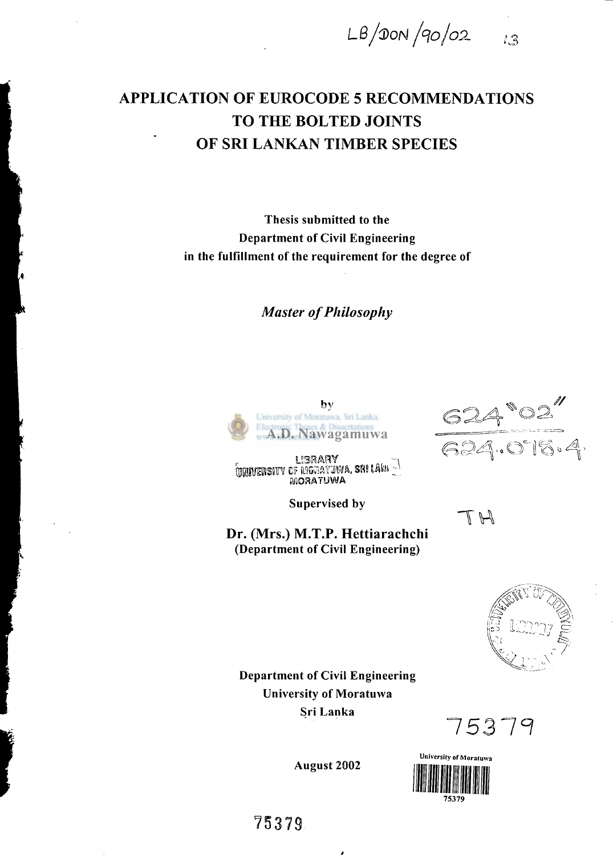*LB/(DoN fao/ox* 

# **APPLICATION OF EUROCODE 5 RECOMMENDATIONS TO THE BOLTED JOINTS OF SRI LANKAN TIMBER SPECIES**

Thesis submitted to the Department of Civil Engineering in the fulfillment of the requirement for the degree of

*Master of Philosophy* 



LIBRARY<br>MORATUWA, SRI LAW I<br>MORATUWA

Supervised by

**Dr. (Mrs.) M.T.P. Hettiarachchi**  (Department of Civil Engineering)

 $\frac{624"02"}{624.016.4.}$ 

TH

13



Department of Civil Engineering University of Moratuwa Sri Lanka

*1531 1* 



August 2002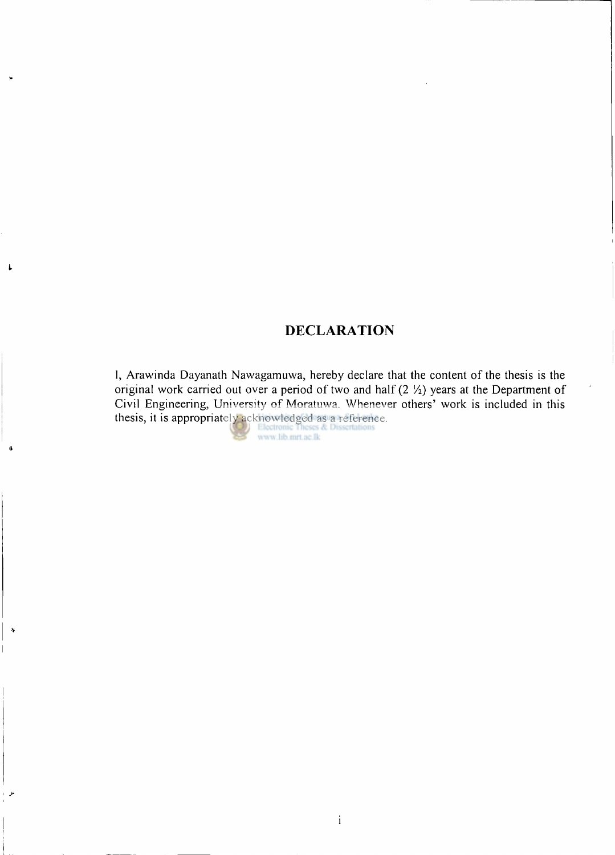## **DECLARATION**

I, Arawinda Dayanath Nawagamuwa, hereby declare that the content of the thesis is the original work carried out over a period of two and half (2  $\frac{1}{2}$ ) years at the Department of Civil Engineering, University of Moratuwa. Whenever others' work is included in this thesis, it is appropriately acknowledged as a reference.

 $\pmb{\downarrow}$ 

ģ

 $\pmb{\hat{y}}$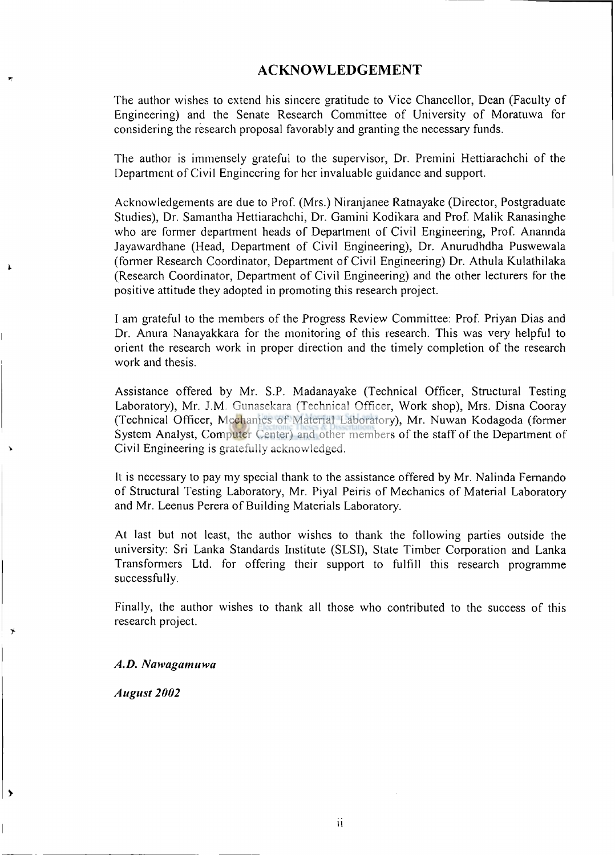### **ACKNOWLEDGEMENT**

The author wishes to extend his sincere gratitude to Vice Chancellor, Dean (Faculty of Engineering) and the Senate Research Committee of University of Moratuwa for considering the research proposal favorably and granting the necessary funds.

The author is immensely grateful to the supervisor, Dr. Premini Hettiarachchi of the Department of Civil Engineering for her invaluable guidance and support.

Acknowledgements are due to Prof. (Mrs.) Niranjanee Ratnayake (Director, Postgraduate Studies), Dr. Samantha Hettiarachchi, Dr. Gamini Kodikara and Prof. Malik Ranasinghe who are former department heads of Department of Civil Engineering, Prof. Anannda Jayawardhane (Head, Department of Civil Engineering), Dr. Anurudhdha Puswewala (former Research Coordinator, Department of Civil Engineering) Dr. Athula Kulathilaka (Research Coordinator, Department of Civil Engineering) and the other lecturers for the positive attitude they adopted in promoting this research project.

I am grateful to the members of the Progress Review Committee: Prof. Priyan Dias and Dr. Anura Nanayakkara for the monitoring of this research. This was very helpful to orient the research work in proper direction and the timely completion of the research work and thesis.

Assistance offered by Mr. S.P. Madanayake (Technical Officer, Structural Testing Laboratory), Mr. J.M. Gunasekara (Technical Officer, Work shop), Mrs. Disna Cooray (Technical Officer, Mechanics of Material Laboratory), Mr. Nuwan Kodagoda (former System Analyst, Computer Center) and other members of the staff of the Department of Civil Engineering is gratefully acknowledged.

It is necessary to pay my special thank to the assistance offered by Mr. Nalinda Fernando of Structural Testing Laboratory, Mr. Piyal Peiris of Mechanics of Material Laboratory and Mr. Leenus Perera of Building Materials Laboratory.

At last but not least, the author wishes to thank the following parties outside the university: Sri Lanka Standards Institute (SLSI), State Timber Corporation and Lanka Transformers Ltd. for offering their support to fulfill this research programme successfully.

Finally, the author wishes to thank all those who contributed to the success of this research project.

#### *A.D. Nawagamuwa*

*August 2002* 

١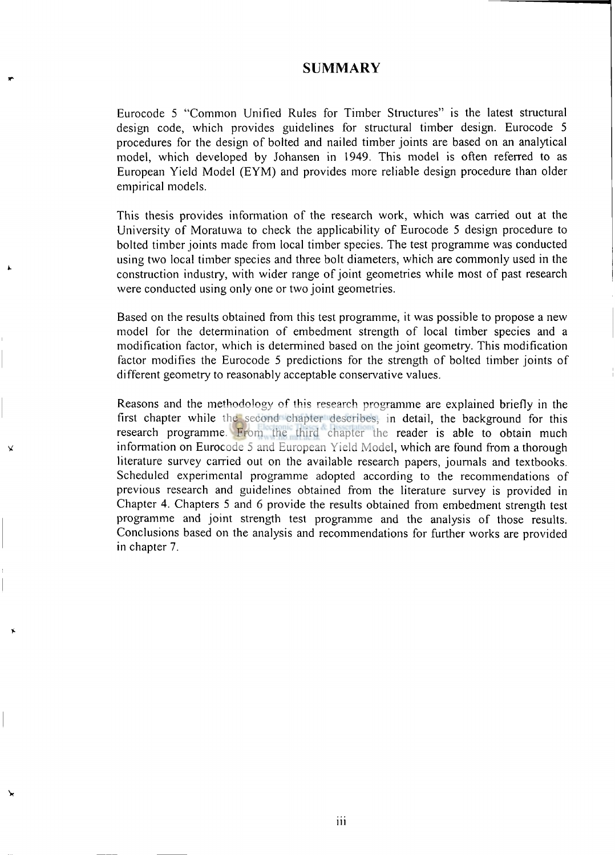### **SUMMARY**

Eurocode 5 "Common Unified Rules for Timber Structures" is the latest structural design code, which provides guidelines for structural timber design. Eurocode 5 procedures for the design of bolted and nailed timber joints are based on an analytical model, which developed by Johansen in 1949. This model is often referred to as European Yield Model (EYM) and provides more reliable design procedure than older empirical models.

This thesis provides information of the research work, which was carried out at the University of Moratuwa to check the applicability of Eurocode 5 design procedure to bolted timber joints made from local timber species. The test programme was conducted using two local timber species and three bolt diameters, which are commonly used in the construction industry, with wider range of joint geometries while most of past research were conducted using only one or two joint geometries.

Based on the results obtained from this test programme, it was possible to propose a new model for the determination of embedment strength of local timber species and a modification factor, which is determined based on the joint geometry. This modification factor modifies the Eurocode 5 predictions for the strength of bolted timber joints of different geometry to reasonably acceptable conservative values.

Reasons and the methodology of this research programme are explained briefly in the first chapter while the second chapter describes, in detail, the background for this research programme. From the third chapter the reader is able to obtain much information on Eurocode 5 and European Yield Model, which are found from a thorough literature survey carried out on the available research papers, journals and textbooks. Scheduled experimental programme adopted according to the recommendations of previous research and guidelines obtained from the literature survey is provided in Chapter 4. Chapters 5 and 6 provide the results obtained from embedment strength test programme and joint strength test programme and the analysis of those results. Conclusions based on the analysis and recommendations for further works are provided in chapter 7.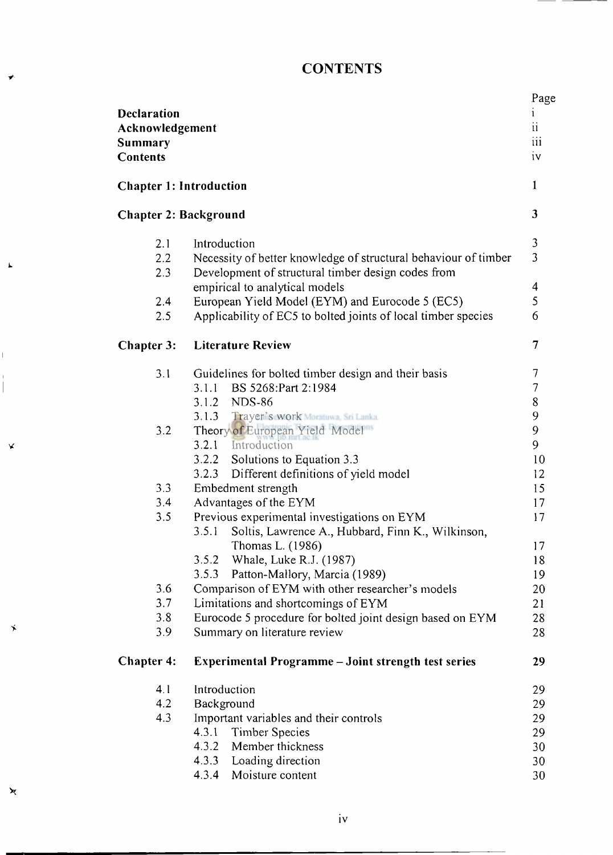# **CONTENTS**

| <b>Declaration</b><br>Acknowledgement<br>Summary<br><b>Contents</b> |                                                                                                                                       | Page<br>1<br>$\rm ii$<br>iii<br>iv |
|---------------------------------------------------------------------|---------------------------------------------------------------------------------------------------------------------------------------|------------------------------------|
| <b>Chapter 1: Introduction</b>                                      |                                                                                                                                       |                                    |
| <b>Chapter 2: Background</b>                                        |                                                                                                                                       | $\overline{\mathbf{3}}$            |
| 2.1<br>2.2<br>2.3                                                   | Introduction<br>Necessity of better knowledge of structural behaviour of timber<br>Development of structural timber design codes from | 3<br>$\overline{3}$                |
|                                                                     | empirical to analytical models                                                                                                        | 4                                  |
| 2.4                                                                 | European Yield Model (EYM) and Eurocode 5 (EC5)                                                                                       | 5                                  |
| 2.5                                                                 | Applicability of EC5 to bolted joints of local timber species                                                                         | 6                                  |
| Chapter 3:                                                          | <b>Literature Review</b>                                                                                                              | 7                                  |
| 3.1                                                                 | Guidelines for bolted timber design and their basis                                                                                   | 7                                  |
|                                                                     | BS 5268:Part 2:1984<br>3.1.1                                                                                                          | $\overline{\mathcal{I}}$           |
|                                                                     | 3.1.2 NDS-86                                                                                                                          | 8                                  |
|                                                                     | 3.1.3 Trayer's work Moratuwa, Sri Lanka.                                                                                              | 9                                  |
| 3.2                                                                 | Theory of European Yield Model                                                                                                        | 9                                  |
|                                                                     | 3.2.1 Introduction                                                                                                                    | 9<br>10                            |
|                                                                     | 3.2.2 Solutions to Equation 3.3<br>3.2.3 Different definitions of yield model                                                         | 12                                 |
| 3.3                                                                 | Embedment strength                                                                                                                    | 15                                 |
| 3.4                                                                 | Advantages of the EYM                                                                                                                 | 17                                 |
| 3.5                                                                 | Previous experimental investigations on EYM                                                                                           | 17                                 |
|                                                                     | Soltis, Lawrence A., Hubbard, Finn K., Wilkinson,<br>3.5.1                                                                            |                                    |
|                                                                     | Thomas L. (1986)                                                                                                                      | 17                                 |
|                                                                     | 3.5.2 Whale, Luke R.J. (1987)                                                                                                         | 18                                 |
|                                                                     | Patton-Mallory, Marcia (1989)<br>3.5.3                                                                                                | 19                                 |
| 3.6                                                                 | Comparison of EYM with other researcher's models                                                                                      | 20                                 |
| 3.7                                                                 | Limitations and shortcomings of EYM                                                                                                   | 21                                 |
| 3.8<br>3.9                                                          | Eurocode 5 procedure for bolted joint design based on EYM<br>Summary on literature review                                             | 28<br>28                           |
|                                                                     |                                                                                                                                       |                                    |
| <b>Chapter 4:</b>                                                   | <b>Experimental Programme - Joint strength test series</b>                                                                            | 29                                 |
| 4.1                                                                 | Introduction                                                                                                                          | 29                                 |
| 4.2                                                                 | Background                                                                                                                            | 29                                 |
| 4.3                                                                 | Important variables and their controls                                                                                                | 29                                 |
|                                                                     | 4.3.1<br><b>Timber Species</b>                                                                                                        | 29                                 |
|                                                                     | 4.3.2<br>Member thickness                                                                                                             | 30                                 |
|                                                                     | 4.3.3<br>Loading direction                                                                                                            | 30                                 |
|                                                                     | 4.3.4<br>Moisture content                                                                                                             | 30                                 |

 $\bar{\mathbf{L}}$ 

 $\frac{1}{1}$ 

¥

 $\star$ 

 $\Join$ 

**iv**